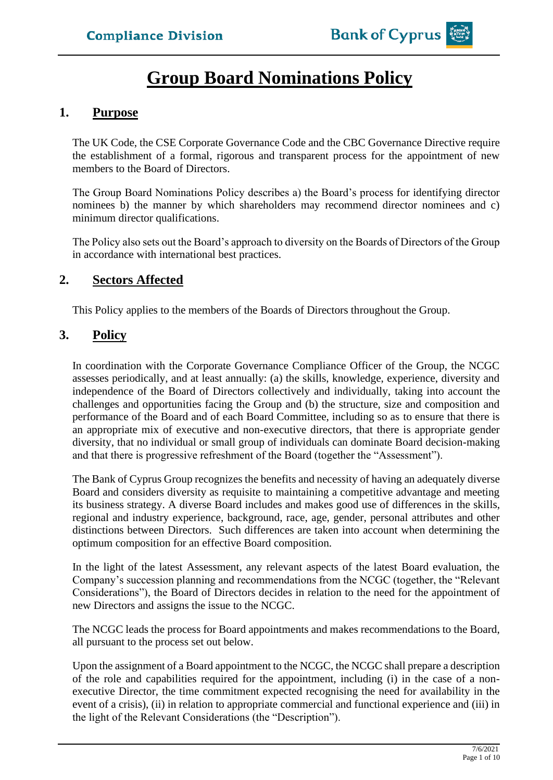# **Group Board Nominations Policy**

## **1. Purpose**

The UK Code, the CSE Corporate Governance Code and the CBC Governance Directive require the establishment of a formal, rigorous and transparent process for the appointment of new members to the Board of Directors.

The Group Board Nominations Policy describes a) the Board's process for identifying director nominees b) the manner by which shareholders may recommend director nominees and c) minimum director qualifications.

The Policy also sets out the Board's approach to diversity on the Boards of Directors of the Group in accordance with international best practices.

# **2. Sectors Affected**

This Policy applies to the members of the Boards of Directors throughout the Group.

# **3. Policy**

In coordination with the Corporate Governance Compliance Officer of the Group, the NCGC assesses periodically, and at least annually: (a) the skills, knowledge, experience, diversity and independence of the Board of Directors collectively and individually, taking into account the challenges and opportunities facing the Group and (b) the structure, size and composition and performance of the Board and of each Board Committee, including so as to ensure that there is an appropriate mix of executive and non-executive directors, that there is appropriate gender diversity, that no individual or small group of individuals can dominate Board decision-making and that there is progressive refreshment of the Board (together the "Assessment").

The Bank of Cyprus Group recognizes the benefits and necessity of having an adequately diverse Board and considers diversity as requisite to maintaining a competitive advantage and meeting its business strategy. A diverse Board includes and makes good use of differences in the skills, regional and industry experience, background, race, age, gender, personal attributes and other distinctions between Directors. Such differences are taken into account when determining the optimum composition for an effective Board composition.

In the light of the latest Assessment, any relevant aspects of the latest Board evaluation, the Company's succession planning and recommendations from the NCGC (together, the "Relevant Considerations"), the Board of Directors decides in relation to the need for the appointment of new Directors and assigns the issue to the NCGC.

The NCGC leads the process for Board appointments and makes recommendations to the Board, all pursuant to the process set out below.

Upon the assignment of a Board appointment to the NCGC, the NCGC shall prepare a description of the role and capabilities required for the appointment, including (i) in the case of a nonexecutive Director, the time commitment expected recognising the need for availability in the event of a crisis), (ii) in relation to appropriate commercial and functional experience and (iii) in the light of the Relevant Considerations (the "Description").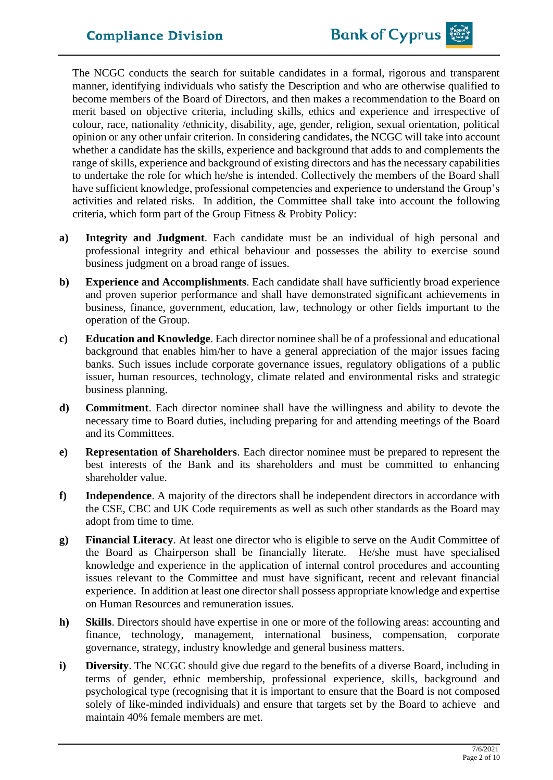The NCGC conducts the search for suitable candidates in a formal, rigorous and transparent manner, identifying individuals who satisfy the Description and who are otherwise qualified to become members of the Board of Directors, and then makes a recommendation to the Board on merit based on objective criteria, including skills, ethics and experience and irrespective of colour, race, nationality /ethnicity, disability, age, gender, religion, sexual orientation, political opinion or any other unfair criterion. In considering candidates, the NCGC will take into account whether a candidate has the skills, experience and background that adds to and complements the range of skills, experience and background of existing directors and has the necessary capabilities to undertake the role for which he/she is intended. Collectively the members of the Board shall have sufficient knowledge, professional competencies and experience to understand the Group's activities and related risks. In addition, the Committee shall take into account the following criteria, which form part of the Group Fitness & Probity Policy:

- **a) Integrity and Judgment**. Each candidate must be an individual of high personal and professional integrity and ethical behaviour and possesses the ability to exercise sound business judgment on a broad range of issues.
- **b) Experience and Accomplishments**. Each candidate shall have sufficiently broad experience and proven superior performance and shall have demonstrated significant achievements in business, finance, government, education, law, technology or other fields important to the operation of the Group.
- **c) Education and Knowledge**. Each director nominee shall be of a professional and educational background that enables him/her to have a general appreciation of the major issues facing banks. Such issues include corporate governance issues, regulatory obligations of a public issuer, human resources, technology, climate related and environmental risks and strategic business planning.
- **d) Commitment**. Each director nominee shall have the willingness and ability to devote the necessary time to Board duties, including preparing for and attending meetings of the Board and its Committees.
- **e) Representation of Shareholders**. Each director nominee must be prepared to represent the best interests of the Bank and its shareholders and must be committed to enhancing shareholder value.
- **f) Independence**. A majority of the directors shall be independent directors in accordance with the CSE, CBC and UK Code requirements as well as such other standards as the Board may adopt from time to time.
- **g) Financial Literacy**. At least one director who is eligible to serve on the Audit Committee of the Board as Chairperson shall be financially literate. He/she must have specialised knowledge and experience in the application of internal control procedures and accounting issues relevant to the Committee and must have significant, recent and relevant financial experience. In addition at least one directorshall possess appropriate knowledge and expertise on Human Resources and remuneration issues.
- **h) Skills**. Directors should have expertise in one or more of the following areas: accounting and finance, technology, management, international business, compensation, corporate governance, strategy, industry knowledge and general business matters.
- **i) Diversity**. The NCGC should give due regard to the benefits of a diverse Board, including in terms of gender, ethnic membership, professional experience, skills, background and psychological type (recognising that it is important to ensure that the Board is not composed solely of like-minded individuals) and ensure that targets set by the Board to achieve and maintain 40% female members are met.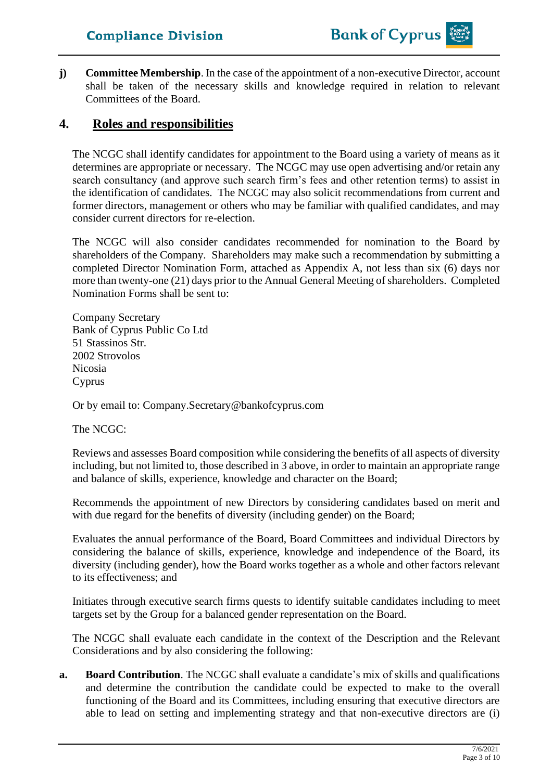**j) Committee Membership**. In the case of the appointment of a non-executive Director, account shall be taken of the necessary skills and knowledge required in relation to relevant Committees of the Board.

# **4. Roles and responsibilities**

The NCGC shall identify candidates for appointment to the Board using a variety of means as it determines are appropriate or necessary. The NCGC may use open advertising and/or retain any search consultancy (and approve such search firm's fees and other retention terms) to assist in the identification of candidates. The NCGC may also solicit recommendations from current and former directors, management or others who may be familiar with qualified candidates, and may consider current directors for re-election.

The NCGC will also consider candidates recommended for nomination to the Board by shareholders of the Company. Shareholders may make such a recommendation by submitting a completed Director Nomination Form, attached as Appendix A, not less than six (6) days nor more than twenty-one (21) days prior to the Annual General Meeting of shareholders. Completed Nomination Forms shall be sent to:

Company Secretary Bank of Cyprus Public Co Ltd 51 Stassinos Str. 2002 Strovolos Nicosia Cyprus

Or by email to: Company.Secretary@bankofcyprus.com

The NCGC:

Reviews and assesses Board composition while considering the benefits of all aspects of diversity including, but not limited to, those described in 3 above, in order to maintain an appropriate range and balance of skills, experience, knowledge and character on the Board;

Recommends the appointment of new Directors by considering candidates based on merit and with due regard for the benefits of diversity (including gender) on the Board;

Evaluates the annual performance of the Board, Board Committees and individual Directors by considering the balance of skills, experience, knowledge and independence of the Board, its diversity (including gender), how the Board works together as a whole and other factors relevant to its effectiveness; and

Initiates through executive search firms quests to identify suitable candidates including to meet targets set by the Group for a balanced gender representation on the Board.

The NCGC shall evaluate each candidate in the context of the Description and the Relevant Considerations and by also considering the following:

**a. Board Contribution**. The NCGC shall evaluate a candidate's mix of skills and qualifications and determine the contribution the candidate could be expected to make to the overall functioning of the Board and its Committees, including ensuring that executive directors are able to lead on setting and implementing strategy and that non-executive directors are (i)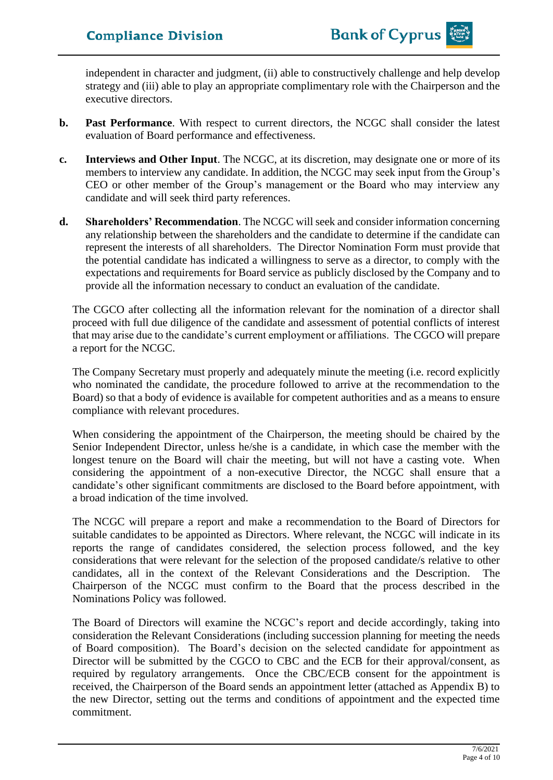independent in character and judgment, (ii) able to constructively challenge and help develop strategy and (iii) able to play an appropriate complimentary role with the Chairperson and the executive directors.

- **b. Past Performance**. With respect to current directors, the NCGC shall consider the latest evaluation of Board performance and effectiveness.
- **c. Interviews and Other Input**. The NCGC, at its discretion, may designate one or more of its members to interview any candidate. In addition, the NCGC may seek input from the Group's CEO or other member of the Group's management or the Board who may interview any candidate and will seek third party references.
- **d. Shareholders' Recommendation**. The NCGC will seek and consider information concerning any relationship between the shareholders and the candidate to determine if the candidate can represent the interests of all shareholders. The Director Nomination Form must provide that the potential candidate has indicated a willingness to serve as a director, to comply with the expectations and requirements for Board service as publicly disclosed by the Company and to provide all the information necessary to conduct an evaluation of the candidate.

The CGCO after collecting all the information relevant for the nomination of a director shall proceed with full due diligence of the candidate and assessment of potential conflicts of interest that may arise due to the candidate's current employment or affiliations. The CGCO will prepare a report for the NCGC.

The Company Secretary must properly and adequately minute the meeting (i.e. record explicitly who nominated the candidate, the procedure followed to arrive at the recommendation to the Board) so that a body of evidence is available for competent authorities and as a means to ensure compliance with relevant procedures.

When considering the appointment of the Chairperson, the meeting should be chaired by the Senior Independent Director, unless he/she is a candidate, in which case the member with the longest tenure on the Board will chair the meeting, but will not have a casting vote. When considering the appointment of a non-executive Director, the NCGC shall ensure that a candidate's other significant commitments are disclosed to the Board before appointment, with a broad indication of the time involved.

The NCGC will prepare a report and make a recommendation to the Board of Directors for suitable candidates to be appointed as Directors. Where relevant, the NCGC will indicate in its reports the range of candidates considered, the selection process followed, and the key considerations that were relevant for the selection of the proposed candidate/s relative to other candidates, all in the context of the Relevant Considerations and the Description. The Chairperson of the NCGC must confirm to the Board that the process described in the Nominations Policy was followed.

The Board of Directors will examine the NCGC's report and decide accordingly, taking into consideration the Relevant Considerations (including succession planning for meeting the needs of Board composition). The Board's decision on the selected candidate for appointment as Director will be submitted by the CGCO to CBC and the ECB for their approval/consent, as required by regulatory arrangements. Once the CBC/ECB consent for the appointment is received, the Chairperson of the Board sends an appointment letter (attached as Appendix B) to the new Director, setting out the terms and conditions of appointment and the expected time commitment.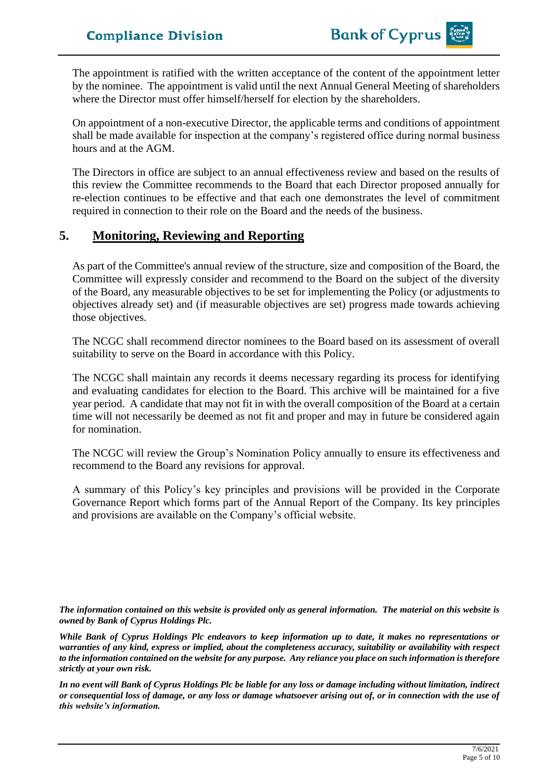The appointment is ratified with the written acceptance of the content of the appointment letter by the nominee. The appointment is valid until the next Annual General Meeting of shareholders where the Director must offer himself/herself for election by the shareholders.

On appointment of a non-executive Director, the applicable terms and conditions of appointment shall be made available for inspection at the company's registered office during normal business hours and at the AGM.

The Directors in office are subject to an annual effectiveness review and based on the results of this review the Committee recommends to the Board that each Director proposed annually for re-election continues to be effective and that each one demonstrates the level of commitment required in connection to their role on the Board and the needs of the business.

## **5. Monitoring, Reviewing and Reporting**

As part of the Committee's annual review of the structure, size and composition of the Board, the Committee will expressly consider and recommend to the Board on the subject of the diversity of the Board, any measurable objectives to be set for implementing the Policy (or adjustments to objectives already set) and (if measurable objectives are set) progress made towards achieving those objectives.

The NCGC shall recommend director nominees to the Board based on its assessment of overall suitability to serve on the Board in accordance with this Policy.

The NCGC shall maintain any records it deems necessary regarding its process for identifying and evaluating candidates for election to the Board. This archive will be maintained for a five year period. A candidate that may not fit in with the overall composition of the Board at a certain time will not necessarily be deemed as not fit and proper and may in future be considered again for nomination.

The NCGC will review the Group's Nomination Policy annually to ensure its effectiveness and recommend to the Board any revisions for approval.

A summary of this Policy's key principles and provisions will be provided in the Corporate Governance Report which forms part of the Annual Report of the Company. Its key principles and provisions are available on the Company's official website.

*The information contained on this website is provided only as general information. The material on this website is owned by Bank of Cyprus Holdings Plc.*

*While Bank of Cyprus Holdings Plc endeavors to keep information up to date, it makes no representations or warranties of any kind, express or implied, about the completeness accuracy, suitability or availability with respect to the information contained on the website for any purpose. Any reliance you place on such information is therefore strictly at your own risk.* 

*In no event will Bank of Cyprus Holdings Plc be liable for any loss or damage including without limitation, indirect or consequential loss of damage, or any loss or damage whatsoever arising out of, or in connection with the use of this website's information.*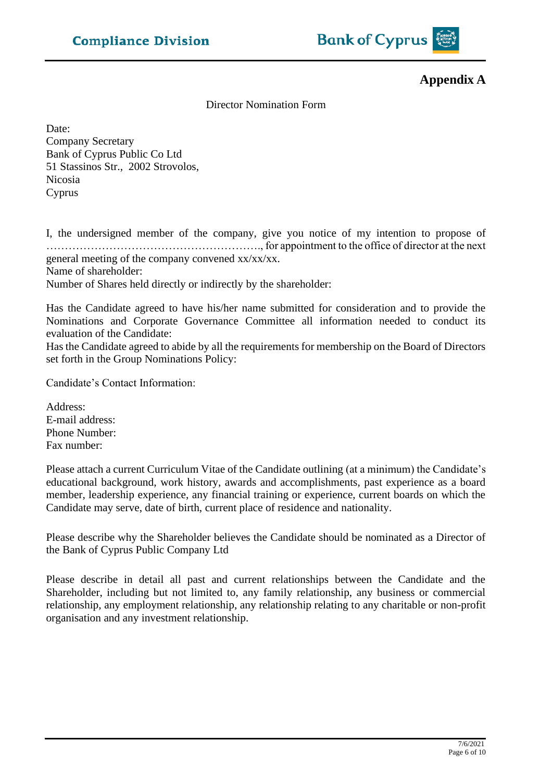

**Appendix A**

#### Director Nomination Form

Date: Company Secretary Bank of Cyprus Public Co Ltd 51 Stassinos Str., 2002 Strovolos, Nicosia Cyprus

I, the undersigned member of the company, give you notice of my intention to propose of …………………………………………………., for appointment to the office of director at the next general meeting of the company convened xx/xx/xx. Name of shareholder: Number of Shares held directly or indirectly by the shareholder:

Has the Candidate agreed to have his/her name submitted for consideration and to provide the Nominations and Corporate Governance Committee all information needed to conduct its evaluation of the Candidate:

Has the Candidate agreed to abide by all the requirements for membership on the Board of Directors set forth in the Group Nominations Policy:

Candidate's Contact Information:

Address: E-mail address: Phone Number: Fax number:

Please attach a current Curriculum Vitae of the Candidate outlining (at a minimum) the Candidate's educational background, work history, awards and accomplishments, past experience as a board member, leadership experience, any financial training or experience, current boards on which the Candidate may serve, date of birth, current place of residence and nationality.

Please describe why the Shareholder believes the Candidate should be nominated as a Director of the Bank of Cyprus Public Company Ltd

Please describe in detail all past and current relationships between the Candidate and the Shareholder, including but not limited to, any family relationship, any business or commercial relationship, any employment relationship, any relationship relating to any charitable or non-profit organisation and any investment relationship.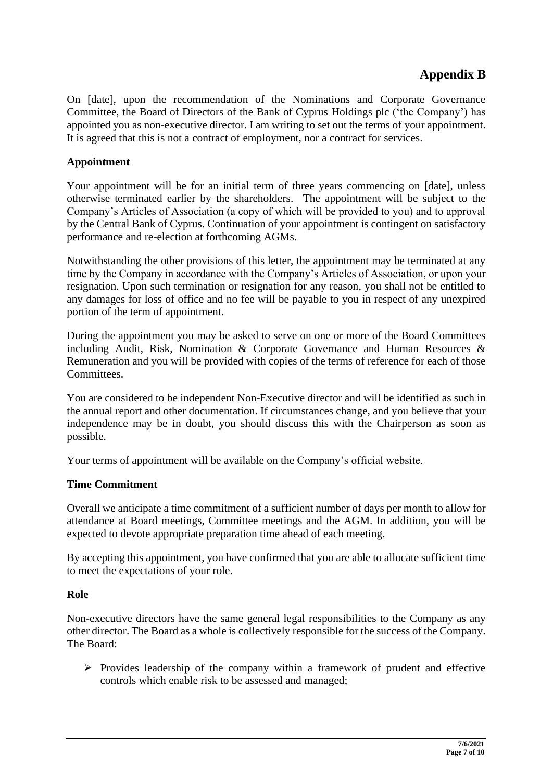# **Appendix B**

On [date], upon the recommendation of the Nominations and Corporate Governance Committee, the Board of Directors of the Bank of Cyprus Holdings plc ('the Company') has appointed you as non-executive director. I am writing to set out the terms of your appointment. It is agreed that this is not a contract of employment, nor a contract for services.

#### **Appointment**

Your appointment will be for an initial term of three years commencing on [date], unless otherwise terminated earlier by the shareholders. The appointment will be subject to the Company's Articles of Association (a copy of which will be provided to you) and to approval by the Central Bank of Cyprus. Continuation of your appointment is contingent on satisfactory performance and re-election at forthcoming AGMs.

Notwithstanding the other provisions of this letter, the appointment may be terminated at any time by the Company in accordance with the Company's Articles of Association, or upon your resignation. Upon such termination or resignation for any reason, you shall not be entitled to any damages for loss of office and no fee will be payable to you in respect of any unexpired portion of the term of appointment.

During the appointment you may be asked to serve on one or more of the Board Committees including Audit, Risk, Nomination & Corporate Governance and Human Resources & Remuneration and you will be provided with copies of the terms of reference for each of those Committees.

You are considered to be independent Non-Executive director and will be identified as such in the annual report and other documentation. If circumstances change, and you believe that your independence may be in doubt, you should discuss this with the Chairperson as soon as possible.

Your terms of appointment will be available on the Company's official website.

#### **Time Commitment**

Overall we anticipate a time commitment of a sufficient number of days per month to allow for attendance at Board meetings, Committee meetings and the AGM. In addition, you will be expected to devote appropriate preparation time ahead of each meeting.

By accepting this appointment, you have confirmed that you are able to allocate sufficient time to meet the expectations of your role.

#### **Role**

Non-executive directors have the same general legal responsibilities to the Company as any other director. The Board as a whole is collectively responsible for the success of the Company. The Board:

 $\triangleright$  Provides leadership of the company within a framework of prudent and effective controls which enable risk to be assessed and managed;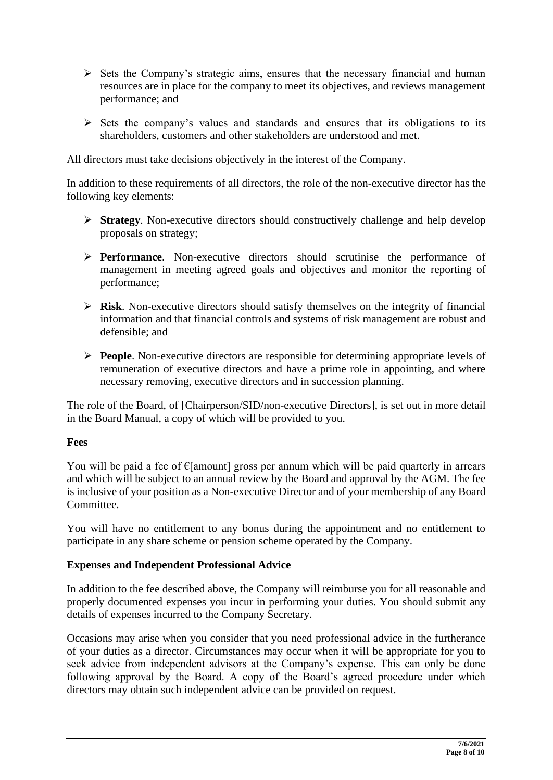- ➢ Sets the Company's strategic aims, ensures that the necessary financial and human resources are in place for the company to meet its objectives, and reviews management performance; and
- ➢ Sets the company's values and standards and ensures that its obligations to its shareholders, customers and other stakeholders are understood and met.

All directors must take decisions objectively in the interest of the Company.

In addition to these requirements of all directors, the role of the non-executive director has the following key elements:

- ➢ **Strategy**. Non-executive directors should constructively challenge and help develop proposals on strategy;
- ➢ **Performance**. Non-executive directors should scrutinise the performance of management in meeting agreed goals and objectives and monitor the reporting of performance;
- ➢ **Risk**. Non-executive directors should satisfy themselves on the integrity of financial information and that financial controls and systems of risk management are robust and defensible; and
- ➢ **People**. Non-executive directors are responsible for determining appropriate levels of remuneration of executive directors and have a prime role in appointing, and where necessary removing, executive directors and in succession planning.

The role of the Board, of [Chairperson/SID/non-executive Directors], is set out in more detail in the Board Manual, a copy of which will be provided to you.

#### **Fees**

You will be paid a fee of  $\epsilon$ [amount] gross per annum which will be paid quarterly in arrears and which will be subject to an annual review by the Board and approval by the AGM. The fee is inclusive of your position as a Non-executive Director and of your membership of any Board Committee.

You will have no entitlement to any bonus during the appointment and no entitlement to participate in any share scheme or pension scheme operated by the Company.

#### **Expenses and Independent Professional Advice**

In addition to the fee described above, the Company will reimburse you for all reasonable and properly documented expenses you incur in performing your duties. You should submit any details of expenses incurred to the Company Secretary.

Occasions may arise when you consider that you need professional advice in the furtherance of your duties as a director. Circumstances may occur when it will be appropriate for you to seek advice from independent advisors at the Company's expense. This can only be done following approval by the Board. A copy of the Board's agreed procedure under which directors may obtain such independent advice can be provided on request.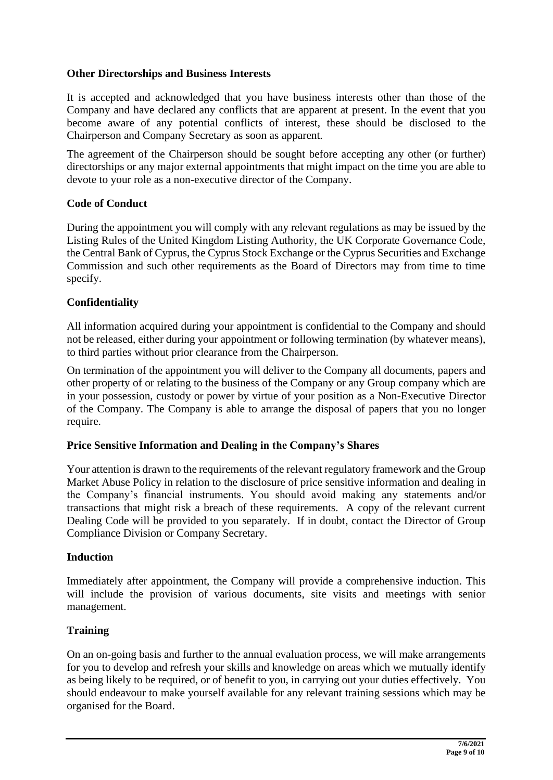#### **Other Directorships and Business Interests**

It is accepted and acknowledged that you have business interests other than those of the Company and have declared any conflicts that are apparent at present. In the event that you become aware of any potential conflicts of interest, these should be disclosed to the Chairperson and Company Secretary as soon as apparent.

The agreement of the Chairperson should be sought before accepting any other (or further) directorships or any major external appointments that might impact on the time you are able to devote to your role as a non-executive director of the Company.

#### **Code of Conduct**

During the appointment you will comply with any relevant regulations as may be issued by the Listing Rules of the United Kingdom Listing Authority, the UK Corporate Governance Code, the Central Bank of Cyprus, the Cyprus Stock Exchange or the Cyprus Securities and Exchange Commission and such other requirements as the Board of Directors may from time to time specify.

#### **Confidentiality**

All information acquired during your appointment is confidential to the Company and should not be released, either during your appointment or following termination (by whatever means), to third parties without prior clearance from the Chairperson.

On termination of the appointment you will deliver to the Company all documents, papers and other property of or relating to the business of the Company or any Group company which are in your possession, custody or power by virtue of your position as a Non-Executive Director of the Company. The Company is able to arrange the disposal of papers that you no longer require.

#### **Price Sensitive Information and Dealing in the Company's Shares**

Your attention is drawn to the requirements of the relevant regulatory framework and the Group Market Abuse Policy in relation to the disclosure of price sensitive information and dealing in the Company's financial instruments. You should avoid making any statements and/or transactions that might risk a breach of these requirements. A copy of the relevant current Dealing Code will be provided to you separately. If in doubt, contact the Director of Group Compliance Division or Company Secretary.

#### **Induction**

Immediately after appointment, the Company will provide a comprehensive induction. This will include the provision of various documents, site visits and meetings with senior management.

#### **Training**

On an on-going basis and further to the annual evaluation process, we will make arrangements for you to develop and refresh your skills and knowledge on areas which we mutually identify as being likely to be required, or of benefit to you, in carrying out your duties effectively. You should endeavour to make yourself available for any relevant training sessions which may be organised for the Board.